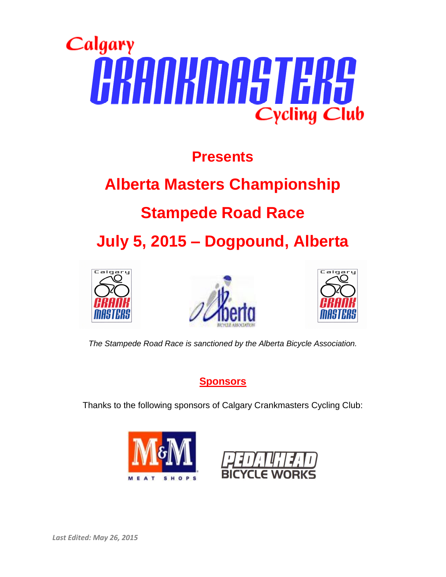

## **Presents**

# **Alberta Masters Championship**

## **Stampede Road Race**

**July 5, 2015 – Dogpound, Alberta**







*The Stampede Road Race is sanctioned by the Alberta Bicycle Association.*

**Sponsors**

Thanks to the following sponsors of Calgary Crankmasters Cycling Club:



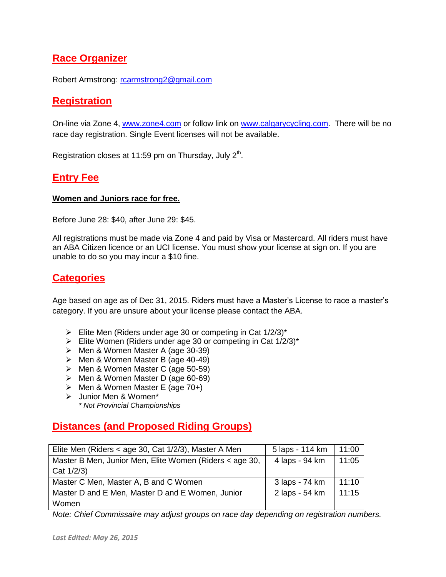### **Race Organizer**

Robert Armstrong: [rcarmstrong2@gmail.com](mailto:rcarmstrong2@gmail.com)

#### **Registration**

On-line via Zone 4, [www.zone4.com](http://www.zone4.com/) or follow link on [www.calgarycycling.com.](http://www.calgarycycling.com/) There will be no race day registration. Single Event licenses will not be available.

Registration closes at 11:59 pm on Thursday, July  $2<sup>th</sup>$ .

#### **Entry Fee**

#### **Women and Juniors race for free.**

Before June 28: \$40, after June 29: \$45.

All registrations must be made via Zone 4 and paid by Visa or Mastercard. All riders must have an ABA Citizen licence or an UCI license. You must show your license at sign on. If you are unable to do so you may incur a \$10 fine.

#### **Categories**

Age based on age as of Dec 31, 2015. Riders must have a Master's License to race a master's category. If you are unsure about your license please contact the ABA.

- Elite Men (Riders under age 30 or competing in Cat  $1/2/3$ <sup>\*</sup>
- Elite Women (Riders under age 30 or competing in Cat  $1/2/3$ <sup>\*</sup>
- Men & Women Master A (age 30-39)
- Men & Women Master B (age 40-49)
- Men & Women Master C (age 50-59)
- $\triangleright$  Men & Women Master D (age 60-69)
- $\triangleright$  Men & Women Master E (age 70+)
- > Junior Men & Women\* *\* Not Provincial Championships*

#### **Distances (and Proposed Riding Groups)**

| Elite Men (Riders < age 30, Cat 1/2/3), Master A Men    | 5 laps - 114 km | 11:00 |
|---------------------------------------------------------|-----------------|-------|
| Master B Men, Junior Men, Elite Women (Riders < age 30, | 4 laps - 94 km  | 11:05 |
| Cat 1/2/3)                                              |                 |       |
| Master C Men, Master A, B and C Women                   | 3 laps - 74 km  | 11:10 |
| Master D and E Men, Master D and E Women, Junior        | 2 laps - 54 km  | 11:15 |
| Women                                                   |                 |       |

*Note: Chief Commissaire may adjust groups on race day depending on registration numbers.*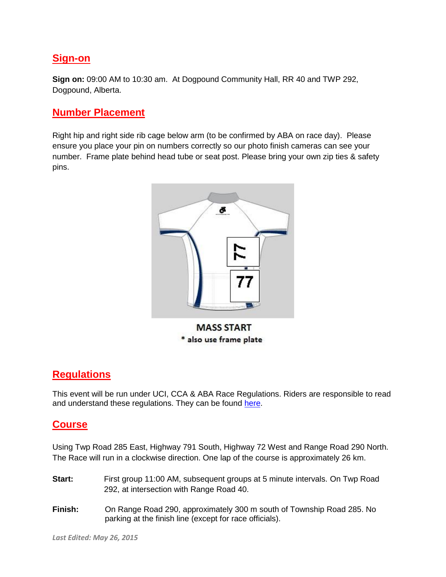#### **Sign-on**

**Sign on:** 09:00 AM to 10:30 am. At Dogpound Community Hall, RR 40 and TWP 292, Dogpound, Alberta.

#### **Number Placement**

Right hip and right side rib cage below arm (to be confirmed by ABA on race day). Please ensure you place your pin on numbers correctly so our photo finish cameras can see your number. Frame plate behind head tube or seat post. Please bring your own zip ties & safety pins.



#### **Regulations**

This event will be run under UCI, CCA & ABA Race Regulations. Riders are responsible to read and understand these regulations. They can be found [here.](http://albertabicycle.ab.ca/regulations)

#### **Course**

Using Twp Road 285 East, Highway 791 South, Highway 72 West and Range Road 290 North. The Race will run in a clockwise direction. One lap of the course is approximately 26 km.

- **Start:** First group 11:00 AM, subsequent groups at 5 minute intervals. On Twp Road 292, at intersection with Range Road 40.
- **Finish:** On Range Road 290, approximately 300 m south of Township Road 285. No parking at the finish line (except for race officials).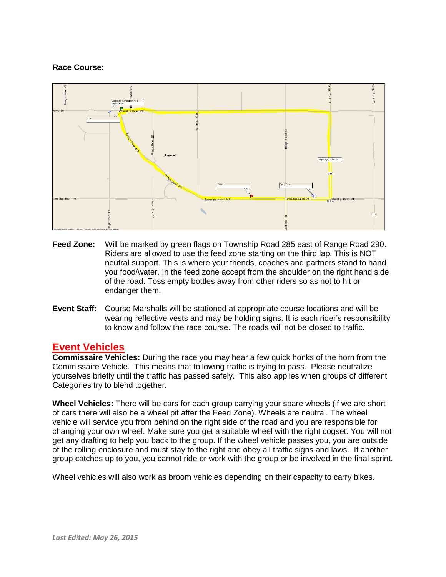#### **Race Course:**



- **Feed Zone:** Will be marked by green flags on Township Road 285 east of Range Road 290. Riders are allowed to use the feed zone starting on the third lap. This is NOT neutral support. This is where your friends, coaches and partners stand to hand you food/water. In the feed zone accept from the shoulder on the right hand side of the road. Toss empty bottles away from other riders so as not to hit or endanger them.
- **Event Staff:** Course Marshalls will be stationed at appropriate course locations and will be wearing reflective vests and may be holding signs. It is each rider's responsibility to know and follow the race course. The roads will not be closed to traffic.

#### **Event Vehicles**

**Commissaire Vehicles:** During the race you may hear a few quick honks of the horn from the Commissaire Vehicle. This means that following traffic is trying to pass. Please neutralize yourselves briefly until the traffic has passed safely. This also applies when groups of different Categories try to blend together.

**Wheel Vehicles:** There will be cars for each group carrying your spare wheels (if we are short of cars there will also be a wheel pit after the Feed Zone). Wheels are neutral. The wheel vehicle will service you from behind on the right side of the road and you are responsible for changing your own wheel. Make sure you get a suitable wheel with the right cogset. You will not get any drafting to help you back to the group. If the wheel vehicle passes you, you are outside of the rolling enclosure and must stay to the right and obey all traffic signs and laws. If another group catches up to you, you cannot ride or work with the group or be involved in the final sprint.

Wheel vehicles will also work as broom vehicles depending on their capacity to carry bikes.